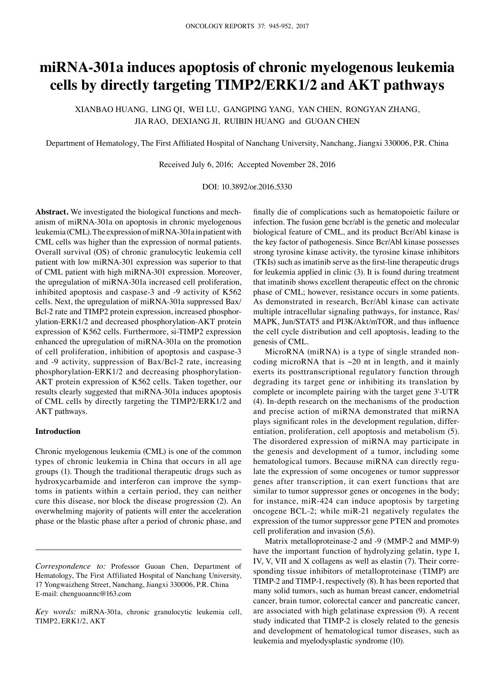# **miRNA-301a induces apoptosis of chronic myelogenous leukemia cells by directly targeting TIMP2/ERK1/2 and AKT pathways**

Xianbao Huang, Ling Qi, wei Lu, Gangping Yang, Yan Chen, Rongyan Zhang, JIA RAO, DEXIANG JI, RUIBIN HUANG and GUOAN CHEN

Department of Hematology, The First Affiliated Hospital of Nanchang University, Nanchang, Jiangxi 330006, P.R. China

Received July 6, 2016; Accepted November 28, 2016

# DOI: 10.3892/or.2016.5330

**Abstract.** We investigated the biological functions and mechanism of miRNA-301a on apoptosis in chronic myelogenous leukemia (CML). The expression of miRNA-301a in patient with CML cells was higher than the expression of normal patients. Overall survival (OS) of chronic granulocytic leukemia cell patient with low miRNA-301 expression was superior to that of CML patient with high miRNA-301 expression. Moreover, the upregulation of miRNA-301a increased cell proliferation, inhibited apoptosis and caspase-3 and -9 activity of K562 cells. Next, the upregulation of miRNA-301a suppressed Bax/ Bcl-2 rate and TIMP2 protein expression, increased phosphorylation-ERK1/2 and decreased phosphorylation-AKT protein expression of K562 cells. Furthermore, si-TIMP2 expression enhanced the upregulation of miRNA-301a on the promotion of cell proliferation, inhibition of apoptosis and caspase-3 and -9 activity, suppression of Bax/Bcl-2 rate, increasing phosphorylation-ERK1/2 and decreasing phosphorylation-AKT protein expression of K562 cells. Taken together, our results clearly suggested that miRNA-301a induces apoptosis of CML cells by directly targeting the TIMP2/ERK1/2 and AKT pathways.

# **Introduction**

Chronic myelogenous leukemia (CML) is one of the common types of chronic leukemia in China that occurs in all age groups (1). Though the traditional therapeutic drugs such as hydroxycarbamide and interferon can improve the symptoms in patients within a certain period, they can neither cure this disease, nor block the disease progression (2). An overwhelming majority of patients will enter the acceleration phase or the blastic phase after a period of chronic phase, and

finally die of complications such as hematopoietic failure or infection. The fusion gene bcr/abl is the genetic and molecular biological feature of CML, and its product Bcr/Abl kinase is the key factor of pathogenesis. Since Bcr/Abl kinase possesses strong tyrosine kinase activity, the tyrosine kinase inhibitors (TKIs) such as imatinib serve as the first-line therapeutic drugs for leukemia applied in clinic (3). It is found during treatment that imatinib shows excellent therapeutic effect on the chronic phase of CML; however, resistance occurs in some patients. As demonstrated in research, Bcr/Abl kinase can activate multiple intracellular signaling pathways, for instance, Ras/ MAPK, Jun/STAT5 and PI3K/Akt/mTOR, and thus influence the cell cycle distribution and cell apoptosis, leading to the genesis of CML.

MicroRNA (miRNA) is a type of single stranded noncoding microRNA that is  $\sim$ 20 nt in length, and it mainly exerts its posttranscriptional regulatory function through degrading its target gene or inhibiting its translation by complete or incomplete pairing with the target gene 3'-UTR (4). In-depth research on the mechanisms of the production and precise action of miRNA demonstrated that miRNA plays significant roles in the development regulation, differentiation, proliferation, cell apoptosis and metabolism (5). The disordered expression of miRNA may participate in the genesis and development of a tumor, including some hematological tumors. Because miRNA can directly regulate the expression of some oncogenes or tumor suppressor genes after transcription, it can exert functions that are similar to tumor suppressor genes or oncogenes in the body; for instance, miR-424 can induce apoptosis by targeting oncogene BCL-2; while miR-21 negatively regulates the expression of the tumor suppressor gene PTEN and promotes cell proliferation and invasion (5,6).

Matrix metalloproteinase-2 and -9 (MMP-2 and MMP-9) have the important function of hydrolyzing gelatin, type I, IV, V, VII and X collagens as well as elastin (7). Their corresponding tissue inhibitors of metalloproteinase (TIMP) are TIMP-2 and TIMP-1, respectively (8). It has been reported that many solid tumors, such as human breast cancer, endometrial cancer, brain tumor, colorectal cancer and pancreatic cancer, are associated with high gelatinase expression (9). A recent study indicated that TIMP-2 is closely related to the genesis and development of hematological tumor diseases, such as leukemia and myelodysplastic syndrome (10).

*Correspondence to:* Professor Guoan Chen, Department of Hematology, The First Affiliated Hospital of Nanchang University, 17 Yongwaizheng Street, Nanchang, Jiangxi 330006, P.R. China E-mail: chenguoannc@163.com

*Key words:* miRNA-301a, chronic granulocytic leukemia cell, TIMP2, ERK1/2, AKT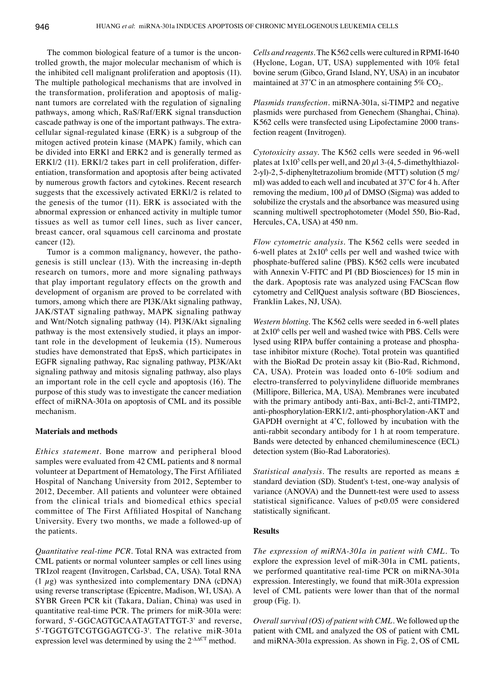The common biological feature of a tumor is the uncontrolled growth, the major molecular mechanism of which is the inhibited cell malignant proliferation and apoptosis (11). The multiple pathological mechanisms that are involved in the transformation, proliferation and apoptosis of malignant tumors are correlated with the regulation of signaling pathways, among which, RaS/Raf/ERK signal transduction cascade pathway is one of the important pathways. The extracellular signal-regulated kinase (ERK) is a subgroup of the mitogen actived protein kinase (MAPK) family, which can be divided into ERKl and ERK2 and is generally termed as ERKl/2 (11). ERKl/2 takes part in cell proliferation, differentiation, transformation and apoptosis after being activated by numerous growth factors and cytokines. Recent research suggests that the excessively activated ERKl/2 is related to the genesis of the tumor (11). ERK is associated with the abnormal expression or enhanced activity in multiple tumor tissues as well as tumor cell lines, such as liver cancer, breast cancer, oral squamous cell carcinoma and prostate cancer (12).

Tumor is a common malignancy, however, the pathogenesis is still unclear (13). With the increasing in-depth research on tumors, more and more signaling pathways that play important regulatory effects on the growth and development of organism are proved to be correlated with tumors, among which there are PI3K/Akt signaling pathway, JAK/STAT signaling pathway, MAPK signaling pathway and Wnt/Notch signaling pathway (14). PI3K/Akt signaling pathway is the most extensively studied, it plays an important role in the development of leukemia (15). Numerous studies have demonstrated that EpsS, which participates in EGFR signaling pathway, Rac signaling pathway, PI3K/Akt signaling pathway and mitosis signaling pathway, also plays an important role in the cell cycle and apoptosis (16). The purpose of this study was to investigate the cancer mediation effect of miRNA-301a on apoptosis of CML and its possible mechanism.

# **Materials and methods**

*Ethics statement.* Bone marrow and peripheral blood samples were evaluated from 42 CML patients and 8 normal volunteer at Department of Hematology, The First Affiliated Hospital of Nanchang University from 2012, September to 2012, December. All patients and volunteer were obtained from the clinical trials and biomedical ethics special committee of The First Affiliated Hospital of Nanchang University. Every two months, we made a followed-up of the patients.

*Quantitative real-time PCR.* Total RNA was extracted from CML patients or normal volunteer samples or cell lines using TRIzol reagent (Invitrogen, Carlsbad, CA, USA). Total RNA  $(1 \mu g)$  was synthesized into complementary DNA (cDNA) using reverse transcriptase (Epicentre, Madison, WI, USA). A SYBR Green PCR kit (Takara, Dalian, China) was used in quantitative real-time PCR. The primers for miR-301a were: forward, 5'-GGCAGTGCAATAGTATTGT-3' and reverse, 5'-TGGTGTCGTGGAGTCG-3'. The relative miR-301a expression level was determined by using the  $2^{\triangle\Delta CT}$  method.

*Cells and reagents.* The K562 cells were cultured in RPMI-1640 (Hyclone, Logan, UT, USA) supplemented with 10% fetal bovine serum (Gibco, Grand Island, NY, USA) in an incubator maintained at  $37^{\circ}$ C in an atmosphere containing  $5\%$  CO<sub>2</sub>.

*Plasmids transfection.* miRNA-301a, si-TIMP2 and negative plasmids were purchased from Genechem (Shanghai, China). K562 cells were transfected using Lipofectamine 2000 transfection reagent (Invitrogen).

*Cytotoxicity assay.* The K562 cells were seeded in 96-well plates at  $1x10^5$  cells per well, and 20  $\mu$ l 3-(4, 5-dimethylthiazol-2-yl)-2, 5-diphenyltetrazolium bromide (MTT) solution (5 mg/ ml) was added to each well and incubated at 37˚C for 4 h. After removing the medium,  $100 \mu l$  of DMSO (Sigma) was added to solubilize the crystals and the absorbance was measured using scanning multiwell spectrophotometer (Model 550, Bio-Rad, Hercules, CA, USA) at 450 nm.

*Flow cytometric analysis.* The K562 cells were seeded in 6-well plates at  $2x10^6$  cells per well and washed twice with phosphate-buffered saline (PBS). K562 cells were incubated with Annexin V-FITC and PI (BD Biosciences) for 15 min in the dark. Apoptosis rate was analyzed using FACScan flow cytometry and CellQuest analysis software (BD Biosciences, Franklin Lakes, NJ, USA).

*Western blotting.* The K562 cells were seeded in 6-well plates at  $2x10<sup>6</sup>$  cells per well and washed twice with PBS. Cells were lysed using RIPA buffer containing a protease and phosphatase inhibitor mixture (Roche). Total protein was quantified with the BioRad Dc protein assay kit (Bio-Rad, Richmond, CA, USA). Protein was loaded onto 6-10% sodium and electro-transferred to polyvinylidene difluoride membranes (Millipore, Billerica, MA, USA). Membranes were incubated with the primary antibody anti-Bax, anti-Bcl-2, anti-TIMP2, anti-phosphorylation-ERK1/2, anti-phosphorylation-AKT and GAPDH overnight at 4˚C, followed by incubation with the anti-rabbit secondary antibody for 1 h at room temperature. Bands were detected by enhanced chemiluminescence (ECL) detection system (Bio-Rad Laboratories).

*Statistical analysis.* The results are reported as means ± standard deviation (SD). Student's t-test, one-way analysis of variance (ANOVA) and the Dunnett-test were used to assess statistical significance. Values of p<0.05 were considered statistically significant.

### **Results**

*The expression of miRNA-301a in patient with CML.* To explore the expression level of miR-301a in CML patients, we performed quantitative real-time PCR on miRNA-301a expression. Interestingly, we found that miR-301a expression level of CML patients were lower than that of the normal group (Fig. 1).

*Overall survival (OS) of patient with CML.* We followed up the patient with CML and analyzed the OS of patient with CML and miRNA-301a expression. As shown in Fig. 2, OS of CML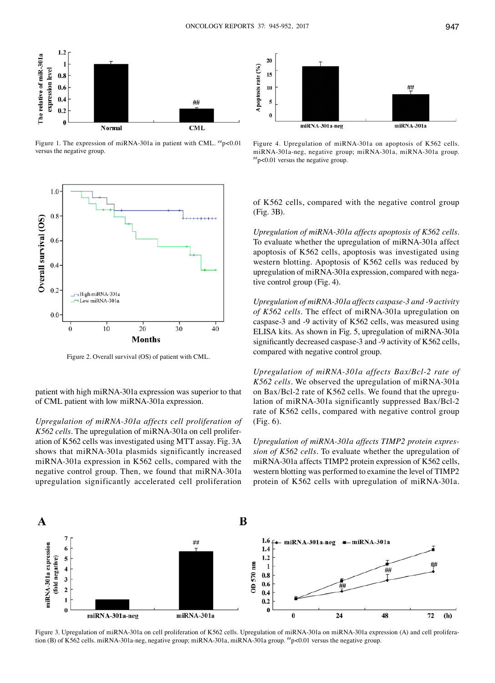

Figure 1. The expression of miRNA-301a in patient with CML.  $^{**}p<0.01$ versus the negative group.



Figure 2. Overall survival (OS) of patient with CML.

patient with high miRNA-301a expression was superior to that of CML patient with low miRNA-301a expression.

*Upregulation of miRNA-301a affects cell proliferation of K562 cells.* The upregulation of miRNA-301a on cell proliferation of K562 cells was investigated using MTT assay. Fig. 3A shows that miRNA-301a plasmids significantly increased miRNA-301a expression in K562 cells, compared with the negative control group. Then, we found that miRNA-301a upregulation significantly accelerated cell proliferation



Figure 4. Upregulation of miRNA-301a on apoptosis of K562 cells. miRNA-301a-neg, negative group; miRNA-301a, miRNA-301a group.<br>#p<0.01 versus the negative group.

of K562 cells, compared with the negative control group (Fig. 3B).

*Upregulation of miRNA-301a affects apoptosis of K562 cells.*  To evaluate whether the upregulation of miRNA-301a affect apoptosis of K562 cells, apoptosis was investigated using western blotting. Apoptosis of K562 cells was reduced by upregulation of miRNA-301a expression, compared with negative control group (Fig. 4).

*Upregulation of miRNA-301a affects caspase-3 and -9 activity of K562 cells.* The effect of miRNA-301a upregulation on caspase-3 and -9 activity of K562 cells, was measured using ELISA kits. As shown in Fig. 5, upregulation of miRNA-301a significantly decreased caspase-3 and -9 activity of K562 cells, compared with negative control group.

*Upregulation of miRNA-301a affects Bax/Bcl-2 rate of K562 cells.* We observed the upregulation of miRNA-301a on Bax/Bcl-2 rate of K562 cells. We found that the upregulation of miRNA-301a significantly suppressed Bax/Bcl-2 rate of K562 cells, compared with negative control group (Fig. 6).

*Upregulation of miRNA-301a affects TIMP2 protein expression of K562 cells.* To evaluate whether the upregulation of miRNA-301a affects TIMP2 protein expression of K562 cells, western blotting was performed to examine the level of TIMP2 protein of K562 cells with upregulation of miRNA-301a.



Figure 3. Upregulation of miRNA-301a on cell proliferation of K562 cells. Upregulation of miRNA-301a on miRNA-301a expression (A) and cell proliferation (B) of K562 cells. miRNA-301a-neg, negative group; miRNA-301a, miRNA-301a group. #p<0.01 versus the negative group.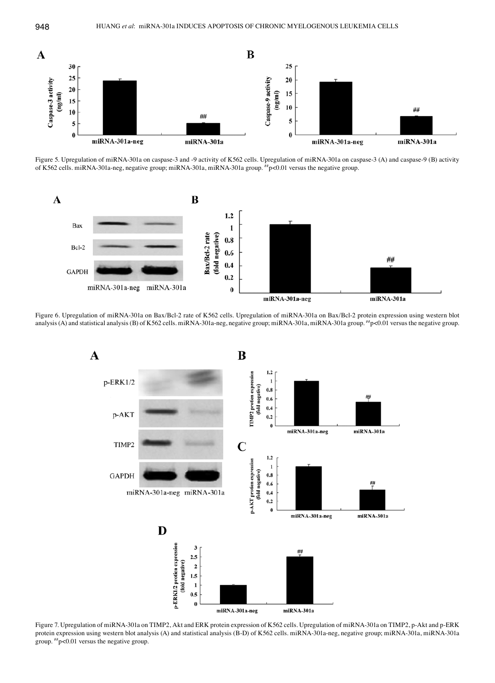

Figure 5. Upregulation of miRNA-301a on caspase-3 and -9 activity of K562 cells. Upregulation of miRNA-301a on caspase-3 (A) and caspase-9 (B) activity of K562 cells. miRNA-301a-neg, negative group; miRNA-301a, miRNA-301a group. ##p<0.01 versus the negative group.



Figure 6. Upregulation of miRNA-301a on Bax/Bcl-2 rate of K562 cells. Upregulation of miRNA-301a on Bax/Bcl-2 protein expression using western blot analysis (A) and statistical analysis (B) of K562 cells. miRNA-301a-neg, negative group; miRNA-301a, miRNA-301a group. #p<0.01 versus the negative group.



Figure 7. Upregulation of miRNA-301a on TIMP2, Akt and ERK protein expression of K562 cells. Upregulation of miRNA-301a on TIMP2, p-Akt and p-ERK protein expression using western blot analysis (A) and statistical analysis (B-D) of K562 cells. miRNA-301a-neg, negative group; miRNA-301a, miRNA-301a group.  $^{#p}$   $\geq$  0.01 versus the negative group.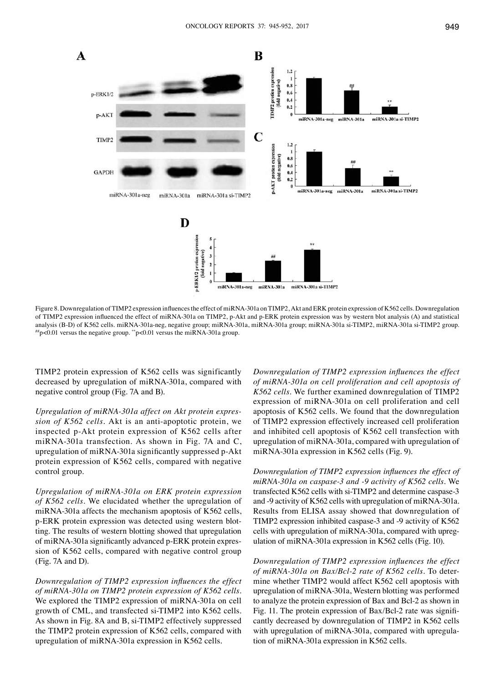



Figure 8. Downregulation of TIMP2 expression influences the effect of miRNA-301a on TIMP2, Akt and ERK protein expression of K562 cells. Downregulation of TIMP2 expression influenced the effect of miRNA‑301a on TIMP2, p-Akt and p-ERK protein expression was by western blot analysis (A) and statistical analysis (B-D) of K562 cells. miRNA-301a-neg, negative group; miRNA-301a, miRNA-301a group; miRNA-301a si-TIMP2, miRNA-301a si-TIMP2 group. ##p<0.01 versus the negative group. \*\*p<0.01 versus the miRNA-301a group.

TIMP2 protein expression of K562 cells was significantly decreased by upregulation of miRNA-301a, compared with negative control group (Fig. 7A and B).

*Upregulation of miRNA-301a affect on Akt protein expression of K562 cells.* Akt is an anti-apoptotic protein, we inspected p-Akt protein expression of K562 cells after miRNA-301a transfection. As shown in Fig. 7A and C, upregulation of miRNA‑301a significantly suppressed p-Akt protein expression of K562 cells, compared with negative control group.

*Upregulation of miRNA-301a on ERK protein expression of K562 cells.* We elucidated whether the upregulation of miRNA-301a affects the mechanism apoptosis of K562 cells, p-ERK protein expression was detected using western blotting. The results of western blotting showed that upregulation of miRNA‑301a significantly advanced p-ERK protein expression of K562 cells, compared with negative control group (Fig. 7A and D).

*Downregulation of TIMP2 expression influences the effect of miRNA-301a on TIMP2 protein expression of K562 cells.*  We explored the TIMP2 expression of miRNA-301a on cell growth of CML, and transfected si-TIMP2 into K562 cells. As shown in Fig. 8A and B, si-TIMP2 effectively suppressed the TIMP2 protein expression of K562 cells, compared with upregulation of miRNA-301a expression in K562 cells.

*Downregulation of TIMP2 expression influences the effect of miRNA-301a on cell proliferation and cell apoptosis of K562 cells.* We further examined downregulation of TIMP2 expression of miRNA-301a on cell proliferation and cell apoptosis of K562 cells. We found that the downregulation of TIMP2 expression effectively increased cell proliferation and inhibited cell apoptosis of K562 cell transfection with upregulation of miRNA-301a, compared with upregulation of miRNA-301a expression in K562 cells (Fig. 9).

*Downregulation of TIMP2 expression influences the effect of miRNA-301a on caspase-3 and -9 activity of K562 cells.* We transfected K562 cells with si-TIMP2 and determine caspase-3 and -9 activity of K562 cells with upregulation of miRNA-301a. Results from ELISA assay showed that downregulation of TIMP2 expression inhibited caspase-3 and -9 activity of K562 cells with upregulation of miRNA-301a, compared with upregulation of miRNA-301a expression in K562 cells (Fig. 10).

*Downregulation of TIMP2 expression influences the effect of miRNA-301a on Bax/Bcl-2 rate of K562 cells.* To determine whether TIMP2 would affect K562 cell apoptosis with upregulation of miRNA-301a, Western blotting was performed to analyze the protein expression of Bax and Bcl-2 as shown in Fig. 11. The protein expression of Bax/Bcl-2 rate was significantly decreased by downregulation of TIMP2 in K562 cells with upregulation of miRNA-301a, compared with upregulation of miRNA-301a expression in K562 cells.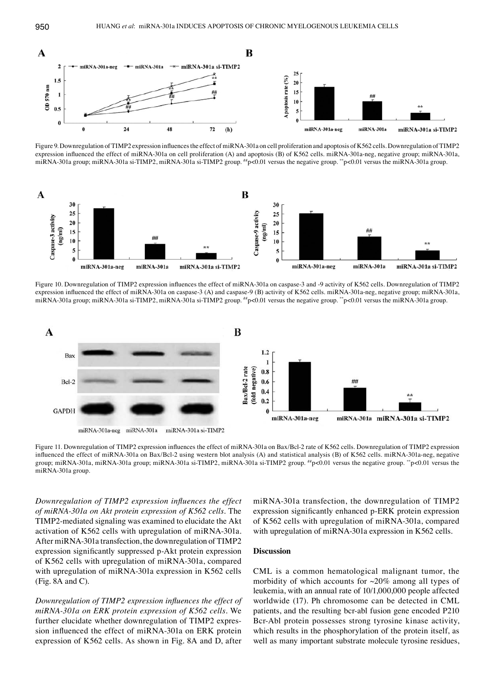

Figure 9. Downregulation of TIMP2 expression influences the effect of miRNA-301a on cell proliferation and apoptosis of K562 cells. Downregulation of TIMP2 expression influenced the effect of miRNA-301a on cell proliferation (A) and apoptosis (B) of K562 cells. miRNA-301a-neg, negative group; miRNA-301a, miRNA-301a group; miRNA-301a si-TIMP2, miRNA-301a si-TIMP2 group. #p<0.01 versus the negative group. \*p<0.01 versus the miRNA-301a group.



Figure 10. Downregulation of TIMP2 expression influences the effect of miRNA‑301a on caspase-3 and -9 activity of K562 cells. Downregulation of TIMP2 expression influenced the effect of miRNA‑301a on caspase-3 (A) and caspase-9 (B) activity of K562 cells. miRNA‑301a-neg, negative group; miRNA‑301a, miRNA-301a group; miRNA-301a si-TIMP2, miRNA-301a si-TIMP2 group. <sup>##</sup>p<0.01 versus the negative group. \*\*p<0.01 versus the miRNA-301a group.



Figure 11. Downregulation of TIMP2 expression influences the effect of miRNA-301a on Bax/Bcl-2 rate of K562 cells. Downregulation of TIMP2 expression influenced the effect of miRNA-301a on Bax/Bcl-2 using western blot analysis (A) and statistical analysis (B) of K562 cells. miRNA-301a-neg, negative group; miRNA-301a, miRNA-301a group; miRNA-301a si-TIMP2, miRNA-301a si-TIMP2 group.  $#p<0.01$  versus the negative group.  $*p<0.01$  versus the miRNA-301a group.

*Downregulation of TIMP2 expression influences the effect of miRNA-301a on Akt protein expression of K562 cells.* The TIMP2-mediated signaling was examined to elucidate the Akt activation of K562 cells with upregulation of miRNA-301a. After miRNA-301a transfection, the downregulation of TIMP2 expression significantly suppressed p-Akt protein expression of K562 cells with upregulation of miRNA-301a, compared with upregulation of miRNA-301a expression in K562 cells (Fig. 8A and C).

*Downregulation of TIMP2 expression influences the effect of miRNA-301a on ERK protein expression of K562 cells.* We further elucidate whether downregulation of TIMP2 expression influenced the effect of miRNA‑301a on ERK protein expression of K562 cells. As shown in Fig. 8A and D, after

miRNA-301a transfection, the downregulation of TIMP2 expression significantly enhanced p-ERK protein expression of K562 cells with upregulation of miRNA-301a, compared with upregulation of miRNA-301a expression in K562 cells.

## **Discussion**

CML is a common hematological malignant tumor, the morbidity of which accounts for  $\sim$ 20% among all types of leukemia, with an annual rate of 10/1,000,000 people affected worldwide (17). Ph chromosome can be detected in CML patients, and the resulting bcr-abl fusion gene encoded P210 Bcr-Abl protein possesses strong tyrosine kinase activity, which results in the phosphorylation of the protein itself, as well as many important substrate molecule tyrosine residues,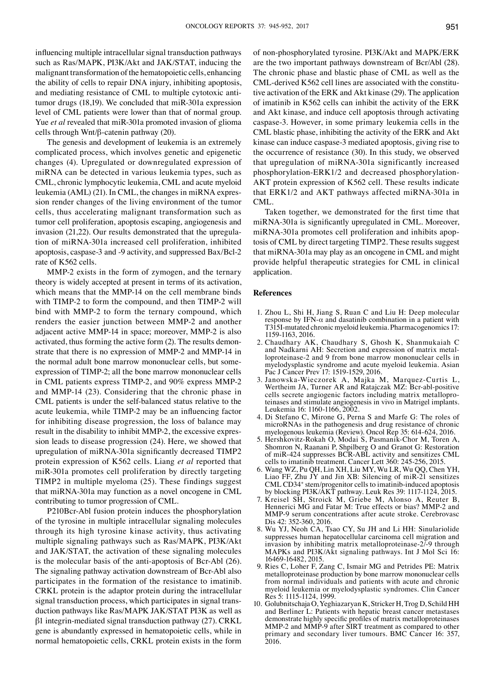influencing multiple intracellular signal transduction pathways such as Ras/MAPK, PI3K/Akt and JAK/STAT, inducing the malignant transformation of the hematopoietic cells, enhancing the ability of cells to repair DNA injury, inhibiting apoptosis, and mediating resistance of CML to multiple cytotoxic antitumor drugs (18,19). We concluded that miR-301a expression level of CML patients were lower than that of normal group. Yue *et al* revealed that miR-301a promoted invasion of glioma cells through Wnt/β-catenin pathway (20).

The genesis and development of leukemia is an extremely complicated process, which involves genetic and epigenetic changes (4). Upregulated or downregulated expression of miRNA can be detected in various leukemia types, such as CML, chronic lymphocytic leukemia, CML and acute myeloid leukemia (AML) (21). In CML, the changes in miRNA expression render changes of the living environment of the tumor cells, thus accelerating malignant transformation such as tumor cell proliferation, apoptosis escaping, angiogenesis and invasion (21,22). Our results demonstrated that the upregulation of miRNA-301a increased cell proliferation, inhibited apoptosis, caspase-3 and -9 activity, and suppressed Bax/Bcl-2 rate of K562 cells.

MMP-2 exists in the form of zymogen, and the ternary theory is widely accepted at present in terms of its activation, which means that the MMP-14 on the cell membrane binds with TIMP-2 to form the compound, and then TIMP-2 will bind with MMP-2 to form the ternary compound, which renders the easier junction between MMP-2 and another adjacent active MMP-14 in space; moreover, MMP-2 is also activated, thus forming the active form (2). The results demonstrate that there is no expression of MMP-2 and MMP-14 in the normal adult bone marrow mononuclear cells, but someexpression of TIMP-2; all the bone marrow mononuclear cells in CML patients express TIMP-2, and 90% express MMP-2 and MMP-14 (23). Considering that the chronic phase in CML patients is under the self-balanced status relative to the acute leukemia, while TIMP-2 may be an influencing factor for inhibiting disease progression, the loss of balance may result in the disability to inhibit MMP-2, the excessive expression leads to disease progression (24). Here, we showed that upregulation of miRNA‑301a significantly decreased TIMP2 protein expression of K562 cells. Liang *et al* reported that miR-301a promotes cell proliferation by directly targeting TIMP2 in multiple myeloma (25). These findings suggest that miRNA-301a may function as a novel oncogene in CML contributing to tumor progression of CML.

P210Bcr-Abl fusion protein induces the phosphorylation of the tyrosine in multiple intracellular signaling molecules through its high tyrosine kinase activity, thus activating multiple signaling pathways such as Ras/MAPK, PI3K/Akt and JAK/STAT, the activation of these signaling molecules is the molecular basis of the anti-apoptosis of Bcr-Abl (26). The signaling pathway activation downstream of Bcr-Abl also participates in the formation of the resistance to imatinib. CRKL protein is the adaptor protein during the intracellular signal transduction process, which participates in signal transduction pathways like Ras/MAPK JAK/STAT PI3K as well as β1 integrin-mediated signal transduction pathway (27). CRKL gene is abundantly expressed in hematopoietic cells, while in normal hematopoietic cells, CRKL protein exists in the form of non-phosphorylated tyrosine. PI3K/Akt and MAPK/ERK are the two important pathways downstream of Bcr/Abl (28). The chronic phase and blastic phase of CML as well as the CML-derived K562 cell lines are associated with the constitutive activation of the ERK and Akt kinase (29). The application of imatinib in K562 cells can inhibit the activity of the ERK and Akt kinase, and induce cell apoptosis through activating caspase-3. However, in some primary leukemia cells in the CML blastic phase, inhibiting the activity of the ERK and Akt kinase can induce caspase-3 mediated apoptosis, giving rise to the occurrence of resistance (30). In this study, we observed that upregulation of miRNA-301a significantly increased phosphorylation-ERK1/2 and decreased phosphorylation-AKT protein expression of K562 cell. These results indicate that ERK1/2 and AKT pathways affected miRNA-301a in CML.

Taken together, we demonstrated for the first time that miRNA‑301a is significantly upregulated in CML. Moreover, miRNA-301a promotes cell proliferation and inhibits apoptosis of CML by direct targeting TIMP2. These results suggest that miRNA-301a may play as an oncogene in CML and might provide helpful therapeutic strategies for CML in clinical application.

#### **References**

- 1. Zhou L, Shi H, Jiang S, Ruan C and Liu H: Deep molecular response by IFN- $\alpha$  and dasatinib combination in a patient with T315I-mutated chronic myeloid leukemia. Pharmacogenomics 17: 1159-1163, 2016.
- 2. Chaudhary AK, Chaudhary S, Ghosh K, Shanmukaiah C and Nadkarni AH: Secretion and expression of matrix metalloproteinase-2 and 9 from bone marrow mononuclear cells in myelodysplastic syndrome and acute myeloid leukemia. Asian Pac J Cancer Prev 17: 1519-1529, 2016.
- 3. Janowska-Wieczorek A, Majka M, Marquez-Curtis L, Wertheim JA, Turner AR and Ratajczak MZ: Bcr-abl-positive cells secrete angiogenic factors including matrix metalloproteinases and stimulate angiogenesis in vivo in Matrigel implants. Leukemia 16: 1160-1166, 2002.
- 4. Di Stefano C, Mirone G, Perna S and Marfe G: The roles of microRNAs in the pathogenesis and drug resistance of chronic myelogenous leukemia (Review). Oncol Rep 35: 614-624, 2016.
- 5. Hershkovitz-Rokah O, Modai S, Pasmanik-Chor M, Toren A, Shomron N, Raanani P, Shpilberg O and Granot G: Restoration of miR-424 suppresses BCR-ABL activity and sensitizes CML cells to imatinib treatment. Cancer Lett 360: 245-256, 2015.
- 6. Wang WZ, Pu QH, Lin XH, Liu MY, Wu LR, Wu QQ, Chen YH, Liao FF, Zhu JY and Jin XB: Silencing of miR-21 sensitizes CML CD34+ stem/progenitor cells to imatinib-induced apoptosis by blocking PI3K/AKT pathway. Leuk Res 39: 1117-1124, 2015.
- 7. Kreisel SH, Stroick M, Griebe M, Alonso A, Reuter B, Hennerici MG and Fatar M: True effects or bias? MMP-2 and MMP-9 serum concentrations after acute stroke. Cerebrovasc Dis 42: 352-360, 2016.
- 8. Wu YJ, Neoh CA, Tsao CY, Su JH and Li HH: Sinulariolide suppresses human hepatocellular carcinoma cell migration and invasion by inhibiting matrix metalloproteinase-2/-9 through MAPKs and PI3K/Akt signaling pathways. Int J Mol Sci 16: 16469-16482, 2015.
- 9. Ries C, Loher F, Zang C, Ismair MG and Petrides PE: Matrix metalloproteinase production by bone marrow mononuclear cells from normal individuals and patients with acute and chronic myeloid leukemia or myelodysplastic syndromes. Clin Cancer Res 5: 1115-1124, 1999.
- 10. Golubnitschaja O, Yeghiazaryan K, Stricker H, Trog D, Schild HH and Berliner L: Patients with hepatic breast cancer metastases demonstrate highly specific profiles of matrix metalloproteinases MMP-2 and MMP-9 after SIRT treatment as compared to other primary and secondary liver tumours. BMC Cancer 16: 357, 2016.